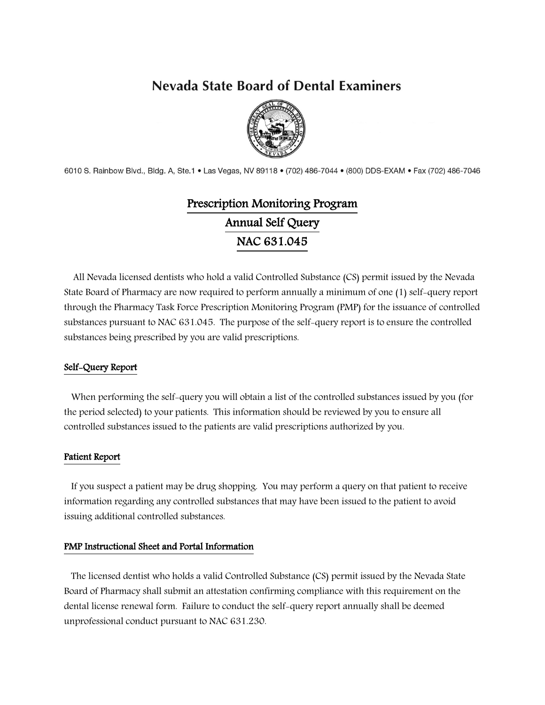# **Nevada State Board of Dental Examiners**



6010 S. Rainbow Blvd., Bldg. A, Ste.1 . Las Vegas, NV 89118 . (702) 486-7044 . (800) DDS-EXAM . Fax (702) 486-7046

# Prescription Monitoring Program Annual Self Query NAC 631.045

 All Nevada licensed dentists who hold a valid Controlled Substance (CS) permit issued by the Nevada State Board of Pharmacy are now required to perform annually a minimum of one (1) self-query report through the Pharmacy Task Force Prescription Monitoring Program (PMP) for the issuance of controlled substances pursuant to NAC 631.045. The purpose of the self-query report is to ensure the controlled substances being prescribed by you are valid prescriptions.

### Self-Query Report

 When performing the self-query you will obtain a list of the controlled substances issued by you (for the period selected) to your patients. This information should be reviewed by you to ensure all controlled substances issued to the patients are valid prescriptions authorized by you.

#### Patient Report

 If you suspect a patient may be drug shopping. You may perform a query on that patient to receive information regarding any controlled substances that may have been issued to the patient to avoid issuing additional controlled substances.

#### PMP Instructional Sheet and Portal Information

 The licensed dentist who holds a valid Controlled Substance (CS) permit issued by the Nevada State Board of Pharmacy shall submit an attestation confirming compliance with this requirement on the dental license renewal form. Failure to conduct the self-query report annually shall be deemed unprofessional conduct pursuant to NAC 631.230.